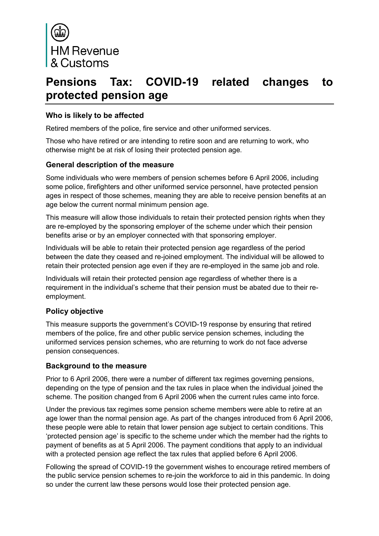

# **Pensions Tax: COVID-19 related changes to protected pension age**

## **Who is likely to be affected**

Retired members of the police, fire service and other uniformed services.

Those who have retired or are intending to retire soon and are returning to work, who otherwise might be at risk of losing their protected pension age.

#### **General description of the measure**

Some individuals who were members of pension schemes before 6 April 2006, including some police, firefighters and other uniformed service personnel, have protected pension ages in respect of those schemes, meaning they are able to receive pension benefits at an age below the current normal minimum pension age.

This measure will allow those individuals to retain their protected pension rights when they are re-employed by the sponsoring employer of the scheme under which their pension benefits arise or by an employer connected with that sponsoring employer.

Individuals will be able to retain their protected pension age regardless of the period between the date they ceased and re-joined employment. The individual will be allowed to retain their protected pension age even if they are re-employed in the same job and role.

Individuals will retain their protected pension age regardless of whether there is a requirement in the individual's scheme that their pension must be abated due to their reemployment.

## **Policy objective**

This measure supports the government's COVID-19 response by ensuring that retired members of the police, fire and other public service pension schemes, including the uniformed services pension schemes, who are returning to work do not face adverse pension consequences.

#### **Background to the measure**

Prior to 6 April 2006, there were a number of different tax regimes governing pensions, depending on the type of pension and the tax rules in place when the individual joined the scheme. The position changed from 6 April 2006 when the current rules came into force.

Under the previous tax regimes some pension scheme members were able to retire at an age lower than the normal pension age. As part of the changes introduced from 6 April 2006, these people were able to retain that lower pension age subject to certain conditions. This 'protected pension age' is specific to the scheme under which the member had the rights to payment of benefits as at 5 April 2006. The payment conditions that apply to an individual with a protected pension age reflect the tax rules that applied before 6 April 2006.

Following the spread of COVID-19 the government wishes to encourage retired members of the public service pension schemes to re-join the workforce to aid in this pandemic. In doing so under the current law these persons would lose their protected pension age.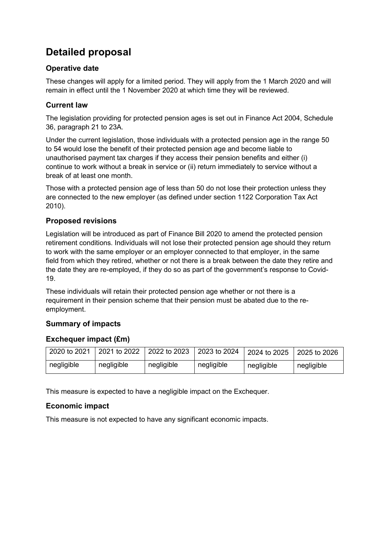# **Detailed proposal**

# **Operative date**

These changes will apply for a limited period. They will apply from the 1 March 2020 and will remain in effect until the 1 November 2020 at which time they will be reviewed.

# **Current law**

The legislation providing for protected pension ages is set out in Finance Act 2004, Schedule 36, paragraph 21 to 23A.

Under the current legislation, those individuals with a protected pension age in the range 50 to 54 would lose the benefit of their protected pension age and become liable to unauthorised payment tax charges if they access their pension benefits and either (i) continue to work without a break in service or (ii) return immediately to service without a break of at least one month.

Those with a protected pension age of less than 50 do not lose their protection unless they are connected to the new employer (as defined under section 1122 Corporation Tax Act 2010).

# **Proposed revisions**

Legislation will be introduced as part of Finance Bill 2020 to amend the protected pension retirement conditions. Individuals will not lose their protected pension age should they return to work with the same employer or an employer connected to that employer, in the same field from which they retired, whether or not there is a break between the date they retire and the date they are re-employed, if they do so as part of the government's response to Covid-19.

These individuals will retain their protected pension age whether or not there is a requirement in their pension scheme that their pension must be abated due to the reemployment.

# **Summary of impacts**

# **Exchequer impact (£m)**

| 2020 to 2021 | 2021 to 2022 | 2022 to 2023 | 2023 to 2024 | 2024 to 2025 | 2025 to 2026 |
|--------------|--------------|--------------|--------------|--------------|--------------|
| negligible   | negligible   | negligible   | negligible   | negligible   | negligible   |

This measure is expected to have a negligible impact on the Exchequer.

# **Economic impact**

This measure is not expected to have any significant economic impacts.